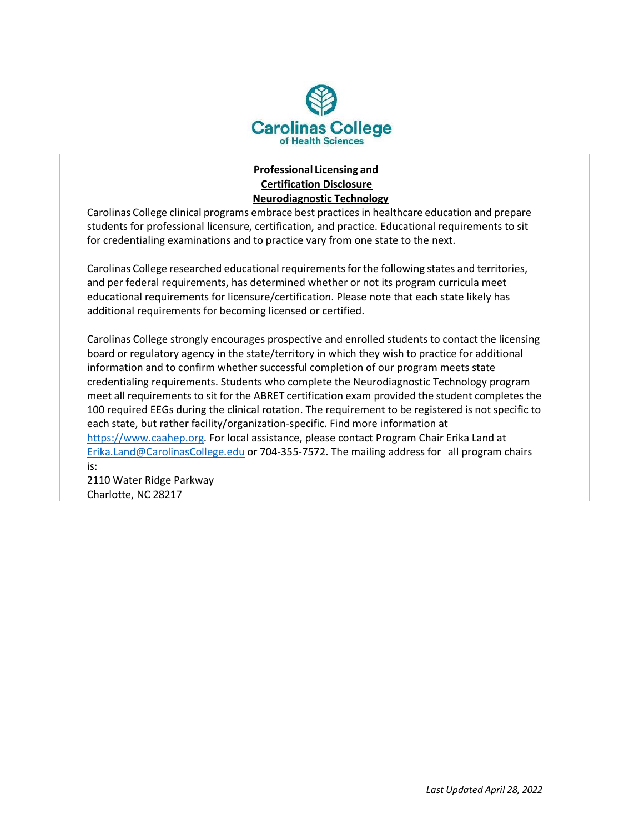

## **Professional Licensing and Certification Disclosure Neurodiagnostic Technology**

Carolinas College clinical programs embrace best practices in healthcare education and prepare students for professional licensure, certification, and practice. Educational requirements to sit for credentialing examinations and to practice vary from one state to the next.

Carolinas College researched educational requirementsforthe following states and territories, and per federal requirements, has determined whether or not its program curricula meet educational requirements for licensure/certification. Please note that each state likely has additional requirements for becoming licensed or certified.

Carolinas College strongly encourages prospective and enrolled students to contact the licensing board or regulatory agency in the state/territory in which they wish to practice for additional information and to confirm whether successful completion of our program meets state credentialing requirements. Students who complete the Neurodiagnostic Technology program meet all requirements to sit for the ABRET certification exam provided the student completes the 100 required EEGs during the clinical rotation. The requirement to be registered is not specific to each state, but rather facility/organization-specific. Find more information at [https://www.caahep.org.](https://www.caahep.org/) For local assistance, please contact Program Chair Erika Land at [Erika.Land@CarolinasCollege.edu](mailto:Erika.Land@carolinascollege.edu) or 704-355-7572. The mailing address for all program chairs is:

2110 Water Ridge Parkway Charlotte, NC 28217